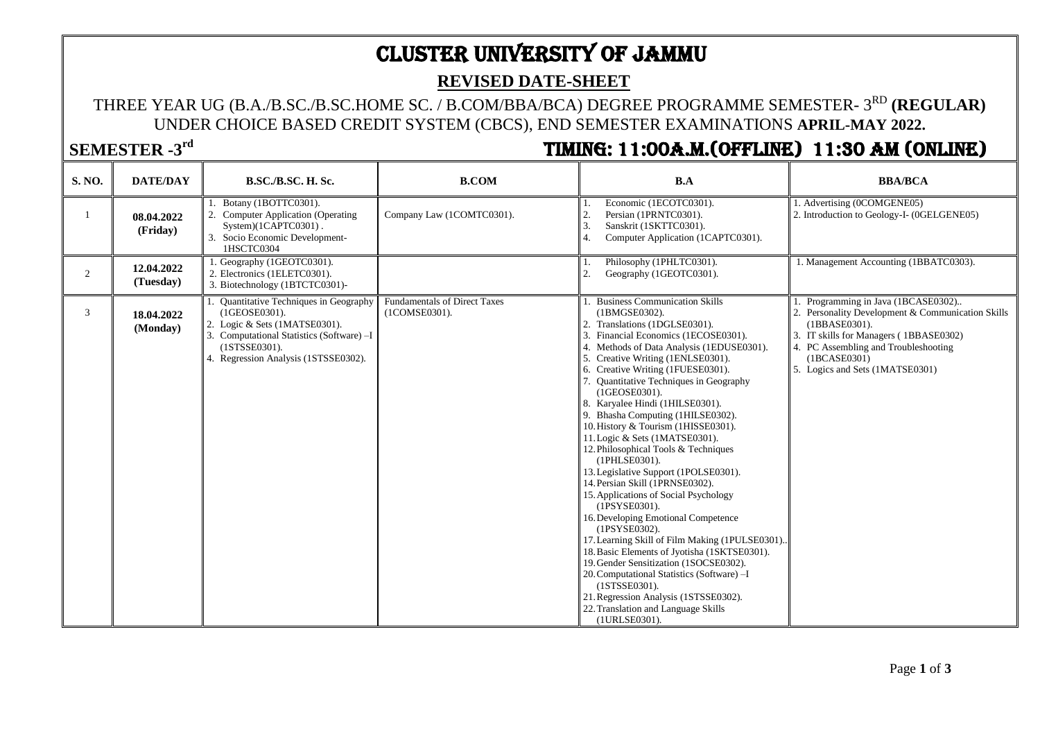# CLUSTER UNIVERSITY OF JAMMU

#### **REVISED DATE-SHEET**

### THREE YEAR UG (B.A./B.SC./B.SC.HOME SC. / B.COM/BBA/BCA) DEGREE PROGRAMME SEMESTER- 3<sup>rd</sup> (**REGULAR**) UNDER CHOICE BASED CREDIT SYSTEM (CBCS), END SEMESTER EXAMINATIONS **APRIL-MAY 2022.**

## **SEMESTER -3**

# **rd** TIMING: 11:00A.M.(Offline) 11:30 AM (Online)

| S. NO.         | <b>DATE/DAY</b>         | <b>B.SC./B.SC. H. Sc.</b>                                                                                                                                                                    | <b>B.COM</b>                                         | B.A                                                                                                                                                                                                                                                                                                                                                                                                                                                                                                                                                                                                                                                                                                                                                                                                                                                                                                                                                                                                                                   | <b>BBA/BCA</b>                                                                                                                                                                                                                              |
|----------------|-------------------------|----------------------------------------------------------------------------------------------------------------------------------------------------------------------------------------------|------------------------------------------------------|---------------------------------------------------------------------------------------------------------------------------------------------------------------------------------------------------------------------------------------------------------------------------------------------------------------------------------------------------------------------------------------------------------------------------------------------------------------------------------------------------------------------------------------------------------------------------------------------------------------------------------------------------------------------------------------------------------------------------------------------------------------------------------------------------------------------------------------------------------------------------------------------------------------------------------------------------------------------------------------------------------------------------------------|---------------------------------------------------------------------------------------------------------------------------------------------------------------------------------------------------------------------------------------------|
|                | 08.04.2022<br>(Friday)  | Botany (1BOTTC0301).<br>2. Computer Application (Operating<br>System)(1CAPTC0301).<br>3. Socio Economic Development-<br>1HSCTC0304                                                           | Company Law (1COMTC0301).                            | Economic (1ECOTC0301).<br>Persian (1PRNTC0301).<br>$\mathbf{3}$<br>Sanskrit (1SKTTC0301).<br>$\overline{4}$ .<br>Computer Application (1CAPTC0301).                                                                                                                                                                                                                                                                                                                                                                                                                                                                                                                                                                                                                                                                                                                                                                                                                                                                                   | 1. Advertising (0COMGENE05)<br>2. Introduction to Geology-I- (0GELGENE05)                                                                                                                                                                   |
| $\overline{2}$ | 12.04.2022<br>(Tuesday) | . Geography (1GEOTC0301).<br>2. Electronics (1ELETC0301).<br>3. Biotechnology (1BTCTC0301)-                                                                                                  |                                                      | Philosophy (1PHLTC0301).<br>Geography (1GEOTC0301).<br>2.                                                                                                                                                                                                                                                                                                                                                                                                                                                                                                                                                                                                                                                                                                                                                                                                                                                                                                                                                                             | 1. Management Accounting (1BBATC0303).                                                                                                                                                                                                      |
| 3              | 18.04.2022<br>(Monday)  | Quantitative Techniques in Geography<br>(1GEOSE0301).<br>2. Logic & Sets (1MATSE0301).<br>3. Computational Statistics (Software) -I<br>(1STSSE0301).<br>4. Regression Analysis (1STSSE0302). | <b>Fundamentals of Direct Taxes</b><br>(1COMSE0301). | <b>Business Communication Skills</b><br>(1BMGSE0302).<br>2. Translations (1DGLSE0301).<br>3. Financial Economics (1ECOSE0301).<br>4. Methods of Data Analysis (1EDUSE0301).<br>5. Creative Writing (1ENLSE0301).<br>6. Creative Writing (1FUESE0301).<br>7. Quantitative Techniques in Geography<br>(1GEOSE0301).<br>8. Karyalee Hindi (1HILSE0301).<br>9. Bhasha Computing (1HILSE0302).<br>10. History & Tourism (1HISSE0301).<br>11. Logic & Sets (1MATSE0301).<br>12. Philosophical Tools & Techniques<br>(1PHLSE0301).<br>13. Legislative Support (1POLSE0301).<br>14. Persian Skill (1PRNSE0302).<br>15. Applications of Social Psychology<br>(1PSYSE0301).<br>16. Developing Emotional Competence<br>(1PSYSE0302).<br>17. Learning Skill of Film Making (1PULSE0301)<br>18. Basic Elements of Jyotisha (1SKTSE0301).<br>19. Gender Sensitization (1SOCSE0302).<br>20. Computational Statistics (Software) -I<br>(1STSSE0301).<br>21. Regression Analysis (1STSSE0302).<br>22. Translation and Language Skills<br>(1URLSE0301). | Programming in Java (1BCASE0302)<br>2. Personality Development & Communication Skills<br>(1BBASE0301).<br>3. IT skills for Managers (1BBASE0302)<br>4. PC Assembling and Troubleshooting<br>(1BCASE0301)<br>5. Logics and Sets (1MATSE0301) |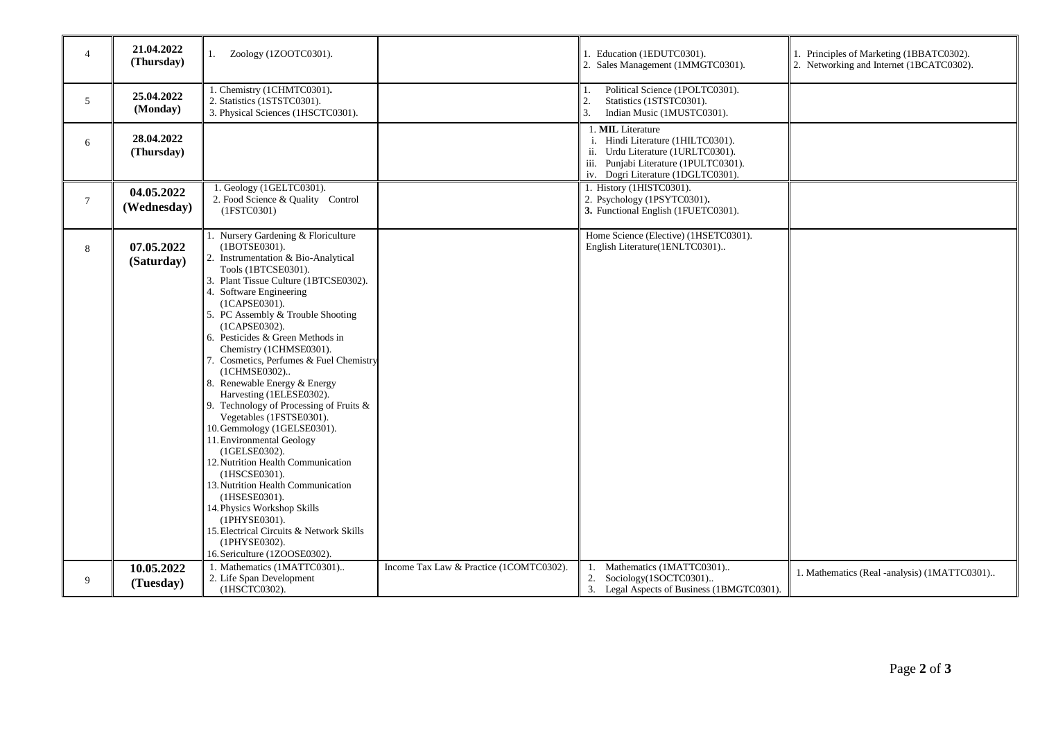| $\overline{4}$  | 21.04.2022<br>(Thursday)  | 1. Zoology (1ZOOTC0301).                                                                                                                                                                                                                                                                                                                                                                                                                                                                                                                                                                                                                                                                                                                                                                                                                                            |                                         | Education (1EDUTC0301).<br>Sales Management (1MMGTC0301).<br>2.                                                                                                                  | 1. Principles of Marketing (1BBATC0302).<br>2. Networking and Internet (1BCATC0302). |
|-----------------|---------------------------|---------------------------------------------------------------------------------------------------------------------------------------------------------------------------------------------------------------------------------------------------------------------------------------------------------------------------------------------------------------------------------------------------------------------------------------------------------------------------------------------------------------------------------------------------------------------------------------------------------------------------------------------------------------------------------------------------------------------------------------------------------------------------------------------------------------------------------------------------------------------|-----------------------------------------|----------------------------------------------------------------------------------------------------------------------------------------------------------------------------------|--------------------------------------------------------------------------------------|
| $5\overline{)}$ | 25.04.2022<br>(Monday)    | 1. Chemistry (1CHMTC0301).<br>2. Statistics (1STSTC0301).<br>3. Physical Sciences (1HSCTC0301).                                                                                                                                                                                                                                                                                                                                                                                                                                                                                                                                                                                                                                                                                                                                                                     |                                         | Political Science (1POLTC0301).<br>2.<br>Statistics (1STSTC0301).<br>3.<br>Indian Music (1MUSTC0301).                                                                            |                                                                                      |
| 6               | 28.04.2022<br>(Thursday)  |                                                                                                                                                                                                                                                                                                                                                                                                                                                                                                                                                                                                                                                                                                                                                                                                                                                                     |                                         | 1. MIL Literature<br>i. Hindi Literature (1HILTC0301).<br>ii. Urdu Literature (1URLTC0301).<br>Punjabi Literature (1PULTC0301).<br>iii.<br>Dogri Literature (1DGLTC0301).<br>iv. |                                                                                      |
| $7\overline{ }$ | 04.05.2022<br>(Wednesday) | 1. Geology (1GELTC0301).<br>2. Food Science & Quality Control<br>(1FSTC0301)                                                                                                                                                                                                                                                                                                                                                                                                                                                                                                                                                                                                                                                                                                                                                                                        |                                         | 1. History (1HISTC0301).<br>2. Psychology (1PSYTC0301).<br>3. Functional English (1FUETC0301).                                                                                   |                                                                                      |
| 8               | 07.05.2022<br>(Saturday)  | 1. Nursery Gardening & Floriculture<br>(1BOTSE0301).<br>2. Instrumentation & Bio-Analytical<br>Tools (1BTCSE0301).<br>3. Plant Tissue Culture (1BTCSE0302).<br>4. Software Engineering<br>(1CAPSE0301).<br>5. PC Assembly & Trouble Shooting<br>(1CAPSE0302).<br>6. Pesticides & Green Methods in<br>Chemistry (1CHMSE0301).<br>7. Cosmetics, Perfumes & Fuel Chemistry<br>(1CHMSE0302)<br>8. Renewable Energy & Energy<br>Harvesting (1ELESE0302).<br>9. Technology of Processing of Fruits &<br>Vegetables (1FSTSE0301).<br>10. Gemmology (1GELSE0301).<br>11. Environmental Geology<br>(1GELSE0302).<br>12. Nutrition Health Communication<br>(1HSCSE0301).<br>13. Nutrition Health Communication<br>(1HSESE0301).<br>14. Physics Workshop Skills<br>(1PHYSE0301).<br>15. Electrical Circuits & Network Skills<br>(1PHYSE0302).<br>16. Sericulture (1ZOOSE0302). |                                         | Home Science (Elective) (1HSETC0301).<br>English Literature(1ENLTC0301)                                                                                                          |                                                                                      |
| 9               | 10.05.2022<br>(Tuesday)   | 1. Mathematics (1MATTC0301)<br>2. Life Span Development<br>(1HSCTC0302).                                                                                                                                                                                                                                                                                                                                                                                                                                                                                                                                                                                                                                                                                                                                                                                            | Income Tax Law & Practice (1COMTC0302). | Mathematics (1MATTC0301)<br>Sociology(1SOCTC0301)<br>2.<br>3. Legal Aspects of Business (1BMGTC0301).                                                                            | 1. Mathematics (Real -analysis) (1MATTC0301)                                         |